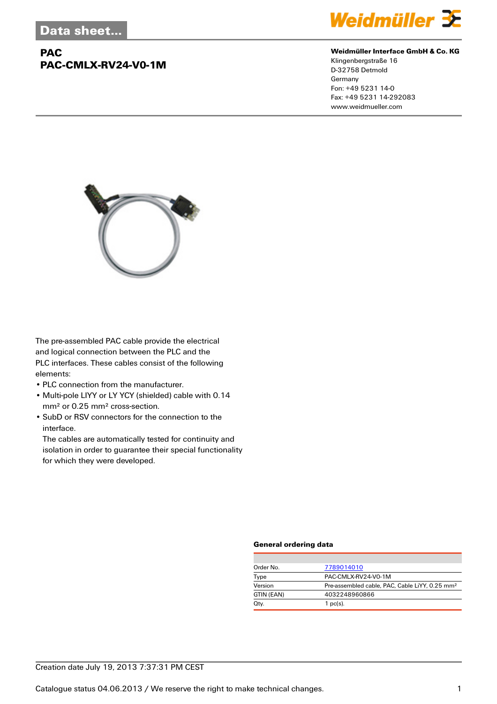## **PAC PAC-CMLX-RV24-V0-1M**



#### **Weidmüller Interface GmbH & Co. KG**

Klingenbergstraße 16 D-32758 Detmold Germany Fon: +49 5231 14-0 Fax: +49 5231 14-292083 www.weidmueller.com



The pre-assembled PAC cable provide the electrical and logical connection between the PLC and the PLC interfaces. These cables consist of the following elements:

- PLC connection from the manufacturer.
- Multi-pole LIYY or LY YCY (shielded) cable with 0.14 mm² or 0.25 mm² cross-section.
- SubD or RSV connectors for the connection to the interface.

The cables are automatically tested for continuity and isolation in order to guarantee their special functionality for which they were developed.

#### **General ordering data**

| Order No.  | 7789014010                                                 |  |
|------------|------------------------------------------------------------|--|
| Type       | PAC-CMLX-RV24-V0-1M                                        |  |
| Version    | Pre-assembled cable, PAC, Cable LiYY, 0.25 mm <sup>2</sup> |  |
| GTIN (EAN) | 4032248960866                                              |  |
| Qty.       | $1$ pc(s).                                                 |  |